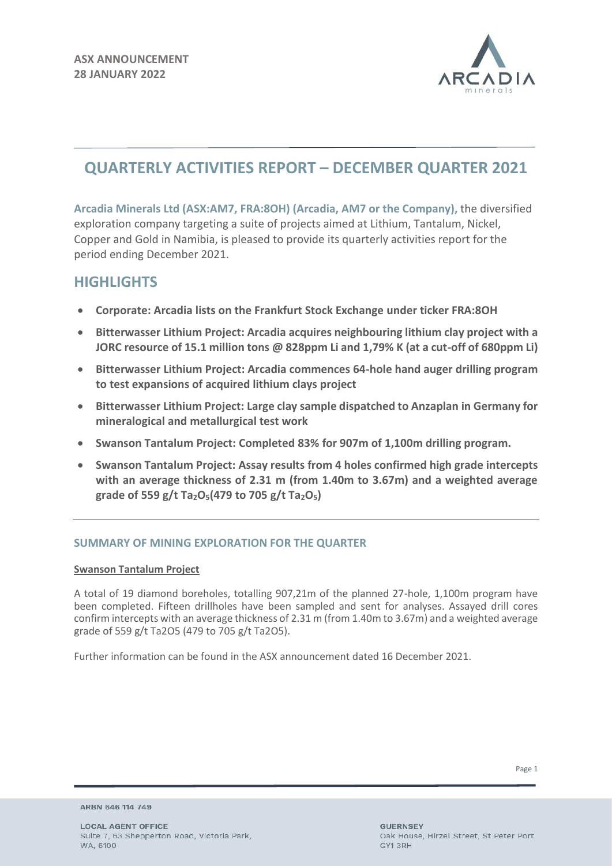

# **QUARTERLY ACTIVITIES REPORT – DECEMBER QUARTER 2021**

**Arcadia Minerals Ltd (ASX:AM7, FRA:8OH) (Arcadia, AM7 or the Company),** the diversified exploration company targeting a suite of projects aimed at Lithium, Tantalum, Nickel, Copper and Gold in Namibia, is pleased to provide its quarterly activities report for the period ending December 2021.

# **HIGHLIGHTS**

- **Corporate: Arcadia lists on the Frankfurt Stock Exchange under ticker FRA:8OH**
- **Bitterwasser Lithium Project: Arcadia acquires neighbouring lithium clay project with a JORC resource of 15.1 million tons @ 828ppm Li and 1,79% K (at a cut-off of 680ppm Li)**
- **Bitterwasser Lithium Project: Arcadia commences 64-hole hand auger drilling program to test expansions of acquired lithium clays project**
- **Bitterwasser Lithium Project: Large clay sample dispatched to Anzaplan in Germany for mineralogical and metallurgical test work**
- **Swanson Tantalum Project: Completed 83% for 907m of 1,100m drilling program.**
- **Swanson Tantalum Project: Assay results from 4 holes confirmed high grade intercepts with an average thickness of 2.31 m (from 1.40m to 3.67m) and a weighted average grade of 559 g/t Ta2O5(479 to 705 g/t Ta2O5)**

# **SUMMARY OF MINING EXPLORATION FOR THE QUARTER**

# **Swanson Tantalum Project**

A total of 19 diamond boreholes, totalling 907,21m of the planned 27-hole, 1,100m program have been completed. Fifteen drillholes have been sampled and sent for analyses. Assayed drill cores confirm intercepts with an average thickness of 2.31 m (from 1.40m to 3.67m) and a weighted average grade of 559 g/t Ta2O5 (479 to 705 g/t Ta2O5).

Further information can be found in the ASX announcement dated 16 December 2021.

ARBN 646 114 749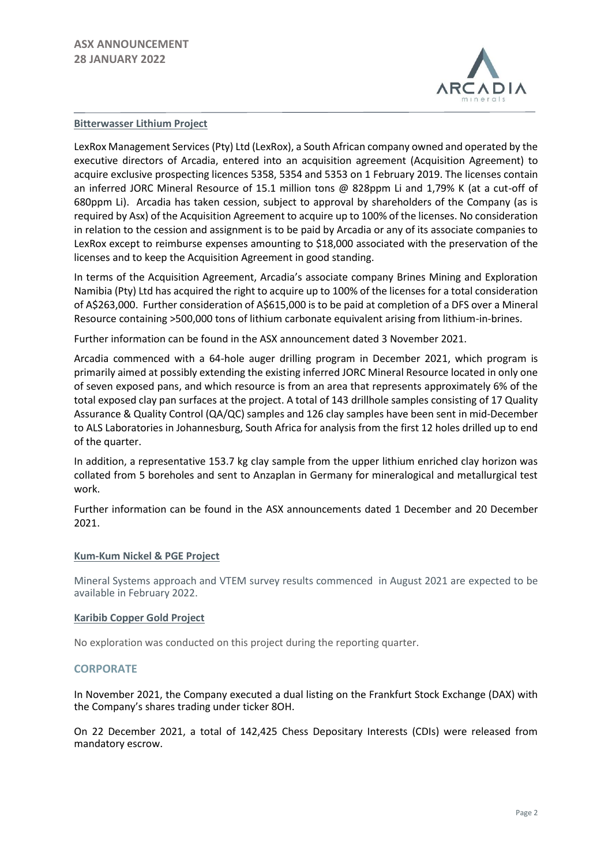

#### **Bitterwasser Lithium Project**

LexRox Management Services (Pty) Ltd (LexRox), a South African company owned and operated by the executive directors of Arcadia, entered into an acquisition agreement (Acquisition Agreement) to acquire exclusive prospecting licences 5358, 5354 and 5353 on 1 February 2019. The licenses contain an inferred JORC Mineral Resource of 15.1 million tons @ 828ppm Li and 1,79% K (at a cut-off of 680ppm Li). Arcadia has taken cession, subject to approval by shareholders of the Company (as is required by Asx) of the Acquisition Agreement to acquire up to 100% of the licenses. No consideration in relation to the cession and assignment is to be paid by Arcadia or any of its associate companies to LexRox except to reimburse expenses amounting to \$18,000 associated with the preservation of the licenses and to keep the Acquisition Agreement in good standing.

In terms of the Acquisition Agreement, Arcadia's associate company Brines Mining and Exploration Namibia (Pty) Ltd has acquired the right to acquire up to 100% of the licenses for a total consideration of A\$263,000. Further consideration of A\$615,000 is to be paid at completion of a DFS over a Mineral Resource containing >500,000 tons of lithium carbonate equivalent arising from lithium-in-brines.

Further information can be found in the ASX announcement dated 3 November 2021.

Arcadia commenced with a 64-hole auger drilling program in December 2021, which program is primarily aimed at possibly extending the existing inferred JORC Mineral Resource located in only one of seven exposed pans, and which resource is from an area that represents approximately 6% of the total exposed clay pan surfaces at the project. A total of 143 drillhole samples consisting of 17 Quality Assurance & Quality Control (QA/QC) samples and 126 clay samples have been sent in mid-December to ALS Laboratories in Johannesburg, South Africa for analysis from the first 12 holes drilled up to end of the quarter.

In addition, a representative 153.7 kg clay sample from the upper lithium enriched clay horizon was collated from 5 boreholes and sent to Anzaplan in Germany for mineralogical and metallurgical test work.

Further information can be found in the ASX announcements dated 1 December and 20 December 2021.

#### **Kum-Kum Nickel & PGE Project**

Mineral Systems approach and VTEM survey results commenced in August 2021 are expected to be available in February 2022.

#### **Karibib Copper Gold Project**

No exploration was conducted on this project during the reporting quarter.

#### **CORPORATE**

In November 2021, the Company executed a dual listing on the Frankfurt Stock Exchange (DAX) with the Company's shares trading under ticker 8OH.

On 22 December 2021, a total of 142,425 Chess Depositary Interests (CDIs) were released from mandatory escrow.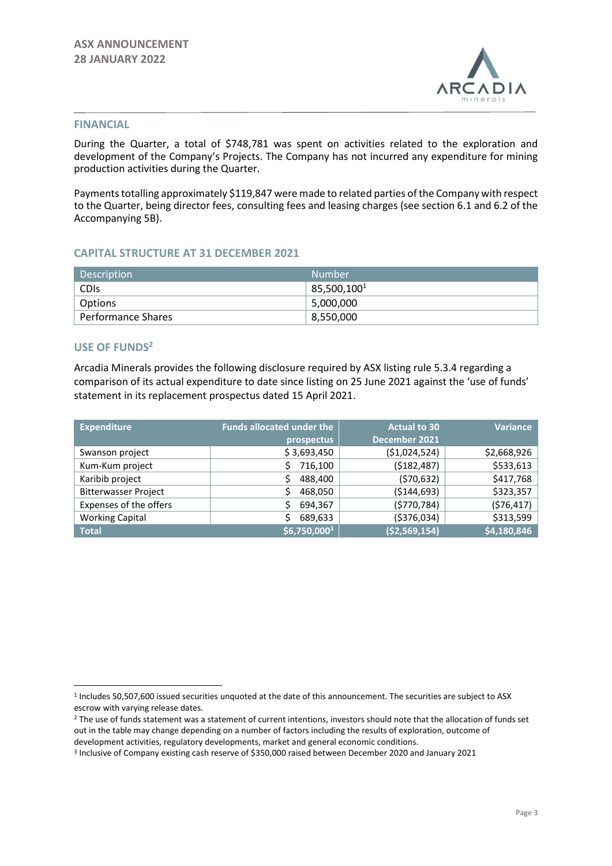

#### **FINANCIAL**

During the Quarter, a total of \$748,781 was spent on activities related to the exploration and development of the Company's Projects. The Company has not incurred any expenditure for mining production activities during the Quarter.

Payments totalling approximately \$119,847 were made to related parties of the Company with respect to the Quarter, being director fees, consulting fees and leasing charges (see section 6.1 and 6.2 of the Accompanying 5B).

### **CAPITAL STRUCTURE AT 31 DECEMBER 2021**

| <b>Description</b>        | Number           |
|---------------------------|------------------|
| <b>CDIS</b>               | $85,500,100^{1}$ |
| Options                   | 5,000,000        |
| <b>Performance Shares</b> | 8,550,000        |

### **USE OF FUNDS<sup>2</sup>**

Arcadia Minerals provides the following disclosure required by ASX listing rule 5.3.4 regarding a comparison of its actual expenditure to date since listing on 25 June 2021 against the 'use of funds' statement in its replacement prospectus dated 15 April 2021.

| <b>Expenditure</b>          | <b>Funds allocated under the</b> | <b>Actual to 30</b> | <b>Variance</b> |
|-----------------------------|----------------------------------|---------------------|-----------------|
|                             | prospectus                       | December 2021       |                 |
| Swanson project             | \$3,693,450                      | ( \$1,024,524)      | \$2,668,926     |
| Kum-Kum project             | 716,100                          | (\$182,487)         | \$533,613       |
| Karibib project             | 488,400<br>\$                    | (570, 632)          | \$417,768       |
| <b>Bitterwasser Project</b> | 468,050                          | ( \$144, 693)       | \$323,357       |
| Expenses of the offers      | 694,367                          | (5770, 784)         | (576, 417)      |
| <b>Working Capital</b>      | 689,633                          | ( \$376, 034)       | \$313,599       |
| <b>Total</b>                | \$6,750,0003                     | ( \$2,569,154)      | \$4,180,846     |

<sup>&</sup>lt;sup>1</sup> Includes 50,507,600 issued securities unquoted at the date of this announcement. The securities are subject to ASX escrow with varying release dates.

<sup>&</sup>lt;sup>2</sup> The use of funds statement was a statement of current intentions, investors should note that the allocation of funds set out in the table may change depending on a number of factors including the results of exploration, outcome of development activities, regulatory developments, market and general economic conditions.

<sup>3</sup> Inclusive of Company existing cash reserve of \$350,000 raised between December 2020 and January 2021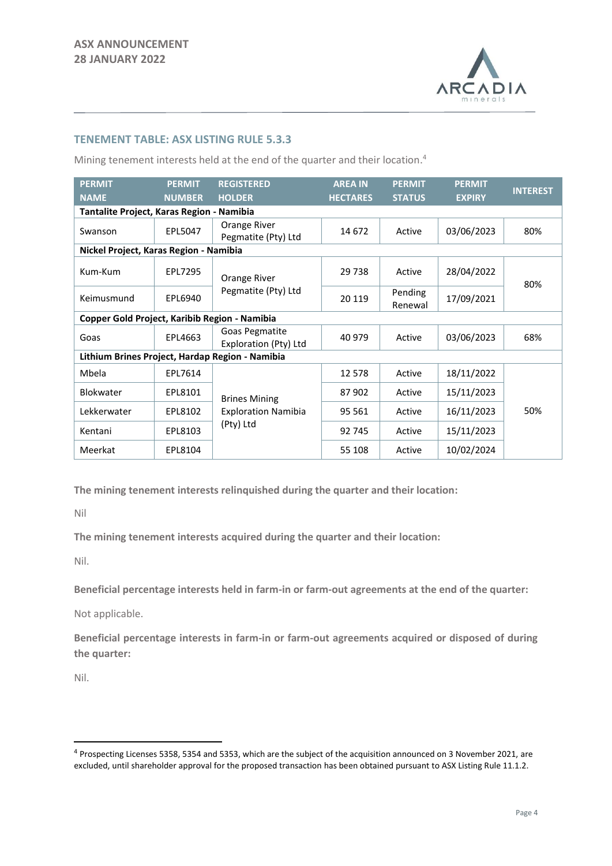

## **TENEMENT TABLE: ASX LISTING RULE 5.3.3**

Mining tenement interests held at the end of the quarter and their location. 4

| <b>PERMIT</b><br><b>NAME</b>                  | <b>PERMIT</b><br><b>NUMBER</b>            | <b>REGISTERED</b><br><b>HOLDER</b>              | <b>AREA IN</b><br><b>HECTARES</b> | <b>PERMIT</b><br><b>STATUS</b> | <b>PERMIT</b><br><b>EXPIRY</b> | <b>INTEREST</b> |  |  |
|-----------------------------------------------|-------------------------------------------|-------------------------------------------------|-----------------------------------|--------------------------------|--------------------------------|-----------------|--|--|
|                                               | Tantalite Project, Karas Region - Namibia |                                                 |                                   |                                |                                |                 |  |  |
| Swanson                                       | EPL5047                                   | Orange River<br>Pegmatite (Pty) Ltd             | 14 672                            | Active                         | 03/06/2023                     | 80%             |  |  |
| Nickel Project, Karas Region - Namibia        |                                           |                                                 |                                   |                                |                                |                 |  |  |
| Kum-Kum                                       | EPL7295                                   | Orange River                                    | 29 7 38                           | Active                         | 28/04/2022                     | 80%             |  |  |
| Keimusmund                                    | EPL6940                                   | Pegmatite (Pty) Ltd                             | 20 119                            | Pending<br>Renewal             | 17/09/2021                     |                 |  |  |
| Copper Gold Project, Karibib Region - Namibia |                                           |                                                 |                                   |                                |                                |                 |  |  |
| Goas                                          | EPL4663                                   | Goas Pegmatite<br>Exploration (Pty) Ltd         | 40 979                            | Active                         | 03/06/2023                     | 68%             |  |  |
|                                               |                                           | Lithium Brines Project, Hardap Region - Namibia |                                   |                                |                                |                 |  |  |
| Mbela                                         | EPL7614                                   |                                                 | 12 5 7 8                          | Active                         | 18/11/2022                     |                 |  |  |
| <b>Blokwater</b>                              | EPL8101                                   | <b>Brines Mining</b>                            | 87902                             | Active                         | 15/11/2023                     |                 |  |  |
| Lekkerwater                                   | EPL8102                                   | <b>Exploration Namibia</b><br>(Pty) Ltd         | 95 561                            | Active                         | 16/11/2023                     | 50%             |  |  |
| Kentani                                       | EPL8103                                   |                                                 | 92 745                            | Active                         | 15/11/2023                     |                 |  |  |
| Meerkat                                       | EPL8104                                   |                                                 | 55 108                            | Active                         | 10/02/2024                     |                 |  |  |

**The mining tenement interests relinquished during the quarter and their location:**

Nil

**The mining tenement interests acquired during the quarter and their location:**

Nil.

**Beneficial percentage interests held in farm-in or farm-out agreements at the end of the quarter:**

Not applicable.

**Beneficial percentage interests in farm-in or farm-out agreements acquired or disposed of during the quarter:**

Nil.

<sup>4</sup> Prospecting Licenses 5358, 5354 and 5353, which are the subject of the acquisition announced on 3 November 2021, are excluded, until shareholder approval for the proposed transaction has been obtained pursuant to ASX Listing Rule 11.1.2.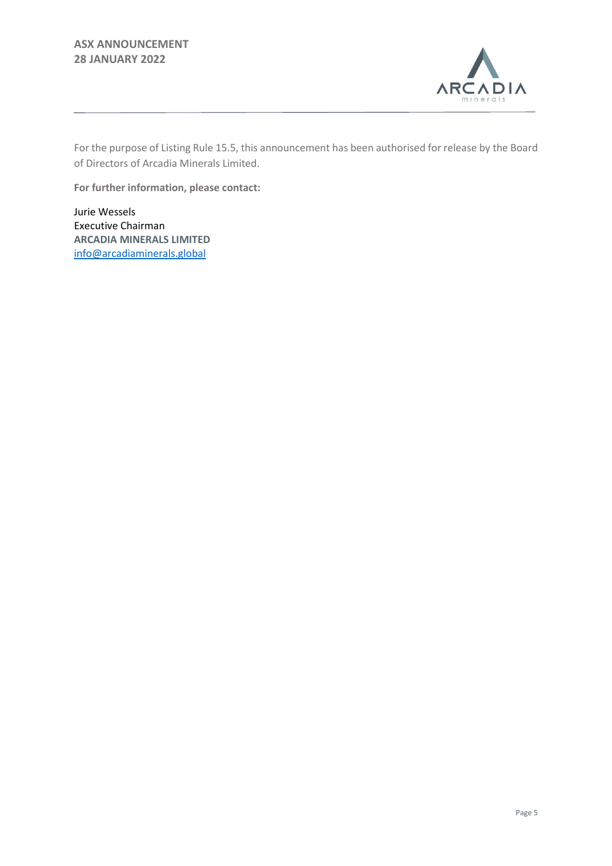

For the purpose of Listing Rule 15.5, this announcement has been authorised for release by the Board of Directors of Arcadia Minerals Limited.

**For further information, please contact:** 

Jurie Wessels Executive Chairman **ARCADIA MINERALS LIMITED** [info@arcadiaminerals.global](mailto:info@arcadiaminerals.global)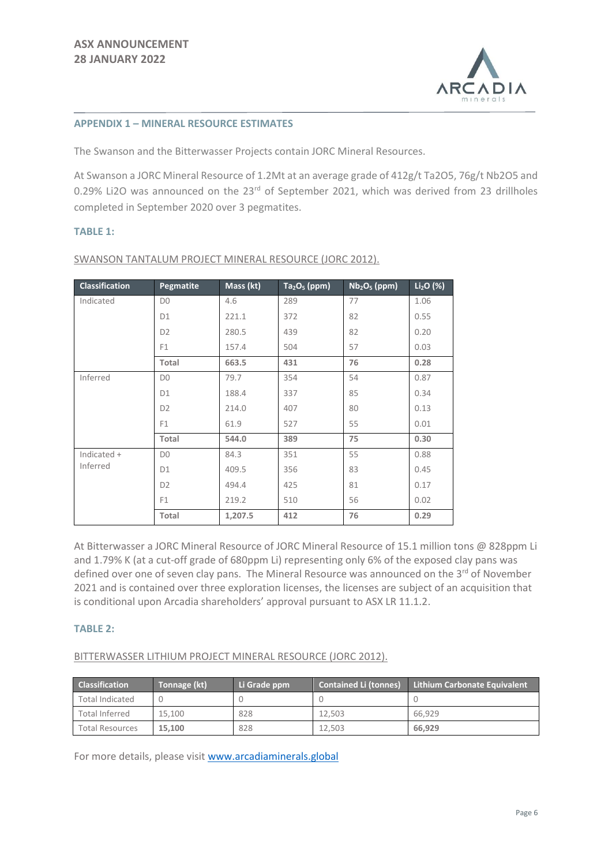

#### **APPENDIX 1 – MINERAL RESOURCE ESTIMATES**

The Swanson and the Bitterwasser Projects contain JORC Mineral Resources.

At Swanson a JORC Mineral Resource of 1.2Mt at an average grade of 412g/t Ta2O5, 76g/t Nb2O5 and 0.29% Li2O was announced on the 23<sup>rd</sup> of September 2021, which was derived from 23 drillholes completed in September 2020 over 3 pegmatites.

### **TABLE 1:**

| <b>Classification</b> | Pegmatite      | Mass (kt) | $Ta2O5$ (ppm) | $Nb2O5$ (ppm) | $Li2O$ (%) |
|-----------------------|----------------|-----------|---------------|---------------|------------|
| Indicated             | D <sub>0</sub> | 4.6       | 289           | 77            | 1.06       |
|                       | D <sub>1</sub> | 221.1     | 372           | 82            | 0.55       |
|                       | D <sub>2</sub> | 280.5     | 439           | 82            | 0.20       |
|                       | F <sub>1</sub> | 157.4     | 504           | 57            | 0.03       |
|                       | Total          | 663.5     | 431           | 76            | 0.28       |
| Inferred              | D <sub>0</sub> | 79.7      | 354           | 54            | 0.87       |
|                       | D <sub>1</sub> | 188.4     | 337           | 85            | 0.34       |
|                       | D <sub>2</sub> | 214.0     | 407           | 80            | 0.13       |
|                       | F <sub>1</sub> | 61.9      | 527           | 55            | 0.01       |
|                       | Total          | 544.0     | 389           | 75            | 0.30       |
| Indicated +           | D <sub>0</sub> | 84.3      | 351           | 55            | 0.88       |
| Inferred              | D <sub>1</sub> | 409.5     | 356           | 83            | 0.45       |
|                       | D <sub>2</sub> | 494.4     | 425           | 81            | 0.17       |
|                       | F <sub>1</sub> | 219.2     | 510           | 56            | 0.02       |
|                       | Total          | 1,207.5   | 412           | 76            | 0.29       |

SWANSON TANTALUM PROJECT MINERAL RESOURCE (JORC 2012).

At Bitterwasser a JORC Mineral Resource of JORC Mineral Resource of 15.1 million tons @ 828ppm Li and 1.79% K (at a cut-off grade of 680ppm Li) representing only 6% of the exposed clay pans was defined over one of seven clay pans. The Mineral Resource was announced on the 3<sup>rd</sup> of November 2021 and is contained over three exploration licenses, the licenses are subject of an acquisition that is conditional upon Arcadia shareholders' approval pursuant to ASX LR 11.1.2.

### **TABLE 2:**

BITTERWASSER LITHIUM PROJECT MINERAL RESOURCE (JORC 2012).

| <b>Classification</b>  | Tonnage (kt) | Li Grade ppm | <b>Contained Li (tonnes)</b> | <b>Lithium Carbonate Equivalent</b> |
|------------------------|--------------|--------------|------------------------------|-------------------------------------|
| <b>Total Indicated</b> |              |              |                              |                                     |
| <b>Total Inferred</b>  | 15.100       | 828          | 12.503                       | 66.929                              |
| <b>Total Resources</b> | 15.100       | 828          | 12.503                       | 66.929                              |

For more details, please visit [www.arcadiaminerals.global](http://www.arcadiaminerals.global/)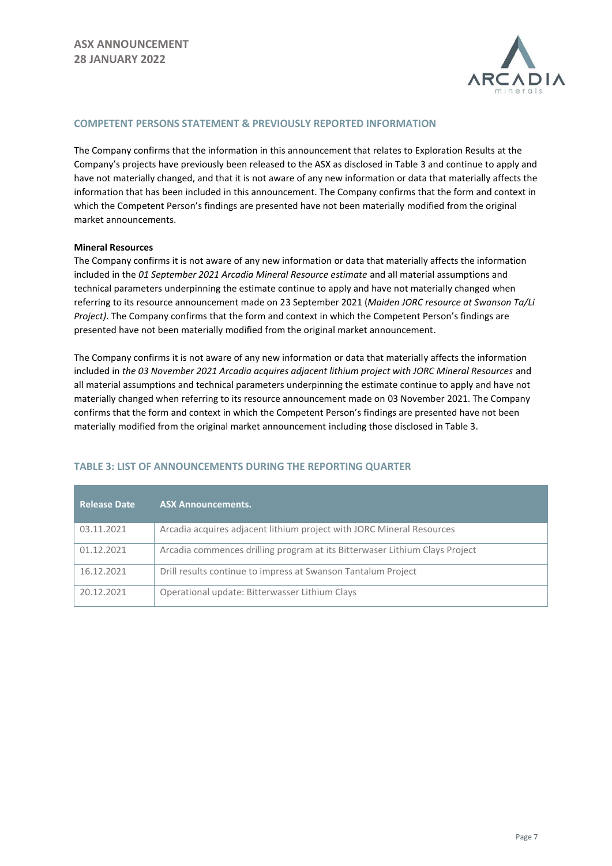

#### **COMPETENT PERSONS STATEMENT & PREVIOUSLY REPORTED INFORMATION**

The Company confirms that the information in this announcement that relates to Exploration Results at the Company's projects have previously been released to the ASX as disclosed in Table 3 and continue to apply and have not materially changed, and that it is not aware of any new information or data that materially affects the information that has been included in this announcement. The Company confirms that the form and context in which the Competent Person's findings are presented have not been materially modified from the original market announcements.

#### **Mineral Resources**

The Company confirms it is not aware of any new information or data that materially affects the information included in the *01 September 2021 Arcadia Mineral Resource estimate* and all material assumptions and technical parameters underpinning the estimate continue to apply and have not materially changed when referring to its resource announcement made on 23 September 2021 (*Maiden JORC resource at Swanson Ta/Li Project)*. The Company confirms that the form and context in which the Competent Person's findings are presented have not been materially modified from the original market announcement.

The Company confirms it is not aware of any new information or data that materially affects the information included in *the 03 November 2021 Arcadia acquires adjacent lithium project with JORC Mineral Resources* and all material assumptions and technical parameters underpinning the estimate continue to apply and have not materially changed when referring to its resource announcement made on 03 November 2021. The Company confirms that the form and context in which the Competent Person's findings are presented have not been materially modified from the original market announcement including those disclosed in Table 3.

| <b>Release Date</b> | <b>ASX Announcements.</b>                                                   |
|---------------------|-----------------------------------------------------------------------------|
| 03.11.2021          | Arcadia acquires adjacent lithium project with JORC Mineral Resources       |
| 01.12.2021          | Arcadia commences drilling program at its Bitterwaser Lithium Clays Project |
| 16.12.2021          | Drill results continue to impress at Swanson Tantalum Project               |
| 20.12.2021          | Operational update: Bitterwasser Lithium Clays                              |

# **TABLE 3: LIST OF ANNOUNCEMENTS DURING THE REPORTING QUARTER**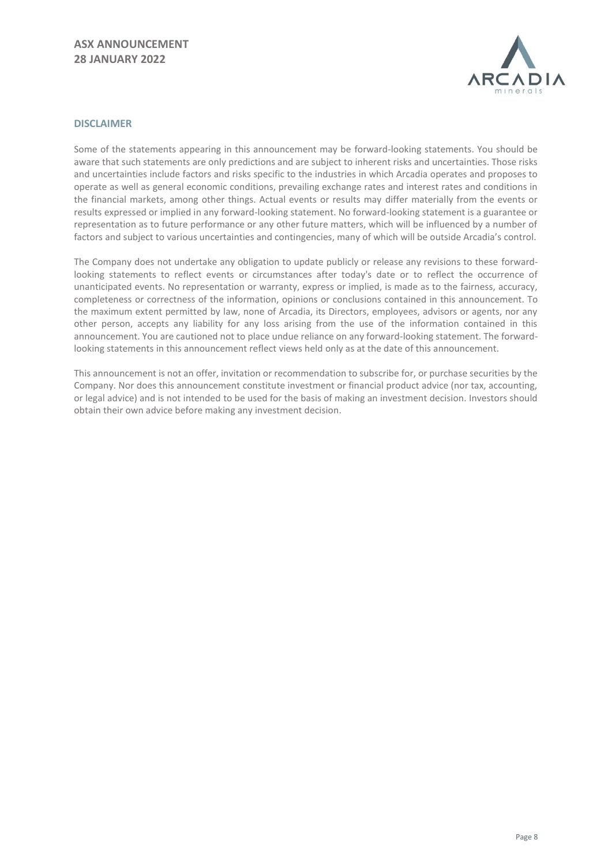# **ASX ANNOUNCEMENT 28 JANUARY 2022**



#### **DISCLAIMER**

Some of the statements appearing in this announcement may be forward-looking statements. You should be aware that such statements are only predictions and are subject to inherent risks and uncertainties. Those risks and uncertainties include factors and risks specific to the industries in which Arcadia operates and proposes to operate as well as general economic conditions, prevailing exchange rates and interest rates and conditions in the financial markets, among other things. Actual events or results may differ materially from the events or results expressed or implied in any forward-looking statement. No forward-looking statement is a guarantee or representation as to future performance or any other future matters, which will be influenced by a number of factors and subject to various uncertainties and contingencies, many of which will be outside Arcadia's control.

The Company does not undertake any obligation to update publicly or release any revisions to these forwardlooking statements to reflect events or circumstances after today's date or to reflect the occurrence of unanticipated events. No representation or warranty, express or implied, is made as to the fairness, accuracy, completeness or correctness of the information, opinions or conclusions contained in this announcement. To the maximum extent permitted by law, none of Arcadia, its Directors, employees, advisors or agents, nor any other person, accepts any liability for any loss arising from the use of the information contained in this announcement. You are cautioned not to place undue reliance on any forward-looking statement. The forwardlooking statements in this announcement reflect views held only as at the date of this announcement.

This announcement is not an offer, invitation or recommendation to subscribe for, or purchase securities by the Company. Nor does this announcement constitute investment or financial product advice (nor tax, accounting, or legal advice) and is not intended to be used for the basis of making an investment decision. Investors should obtain their own advice before making any investment decision.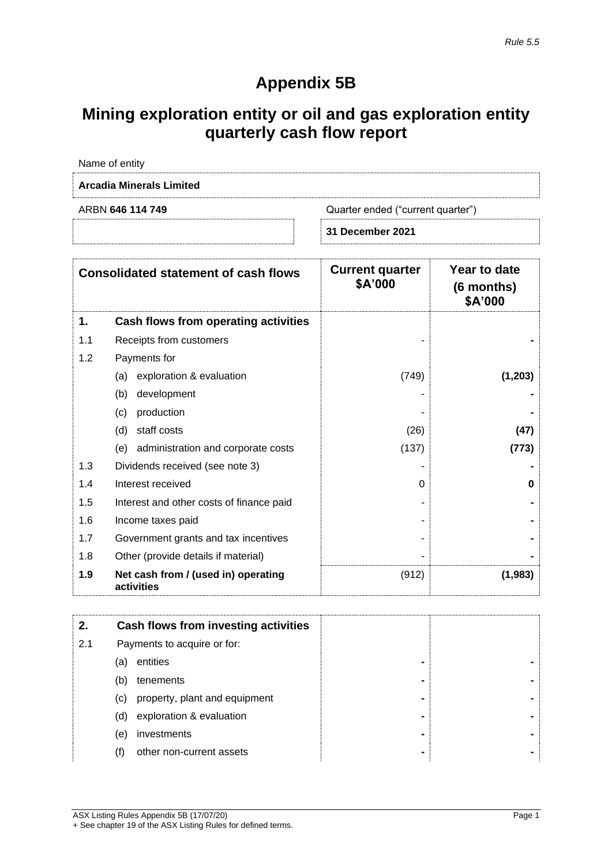# **Appendix 5B**

# **Mining exploration entity or oil and gas exploration entity quarterly cash flow report**

|     | Name of entity                              |                                   |                                       |
|-----|---------------------------------------------|-----------------------------------|---------------------------------------|
|     | <b>Arcadia Minerals Limited</b>             |                                   |                                       |
|     | ARBN 646 114 749                            | Quarter ended ("current quarter") |                                       |
|     |                                             | 31 December 2021                  |                                       |
|     | <b>Consolidated statement of cash flows</b> | <b>Current quarter</b><br>\$A'000 | Year to date<br>(6 months)<br>\$A'000 |
| 1.  | Cash flows from operating activities        |                                   |                                       |
| 1.1 | Receipts from customers                     |                                   |                                       |
| 1.2 | Payments for                                |                                   |                                       |
|     | exploration & evaluation<br>(a)             | (749)                             | (1, 203)                              |
|     | development<br>(b)                          |                                   |                                       |
|     | production<br>(C)                           |                                   |                                       |
|     | $(d)$ staff costs                           | (26)                              | 117)                                  |

|     | (d)<br>staff costs                                | (26)  | (47)    |
|-----|---------------------------------------------------|-------|---------|
|     | administration and corporate costs<br>(e)         | (137) | (773)   |
| 1.3 | Dividends received (see note 3)                   |       |         |
| 1.4 | Interest received                                 | 0     | 0       |
| 1.5 | Interest and other costs of finance paid          | ۰     |         |
| 1.6 | Income taxes paid                                 | ۰     |         |
| 1.7 | Government grants and tax incentives              | ۰     |         |
| 1.8 | Other (provide details if material)               | ۰     |         |
| 1.9 | Net cash from / (used in) operating<br>activities | (912) | (1,983) |

| 2.  |     | Cash flows from investing activities |                |  |
|-----|-----|--------------------------------------|----------------|--|
| 2.1 |     | Payments to acquire or for:          |                |  |
|     | (a) | entities                             | $\blacksquare$ |  |
|     | (b) | tenements                            | $\blacksquare$ |  |
|     | (C) | property, plant and equipment        | $\blacksquare$ |  |
|     | (d) | exploration & evaluation             | $\blacksquare$ |  |
|     | (e) | investments                          | $\blacksquare$ |  |
|     |     | other non-current assets             | $\blacksquare$ |  |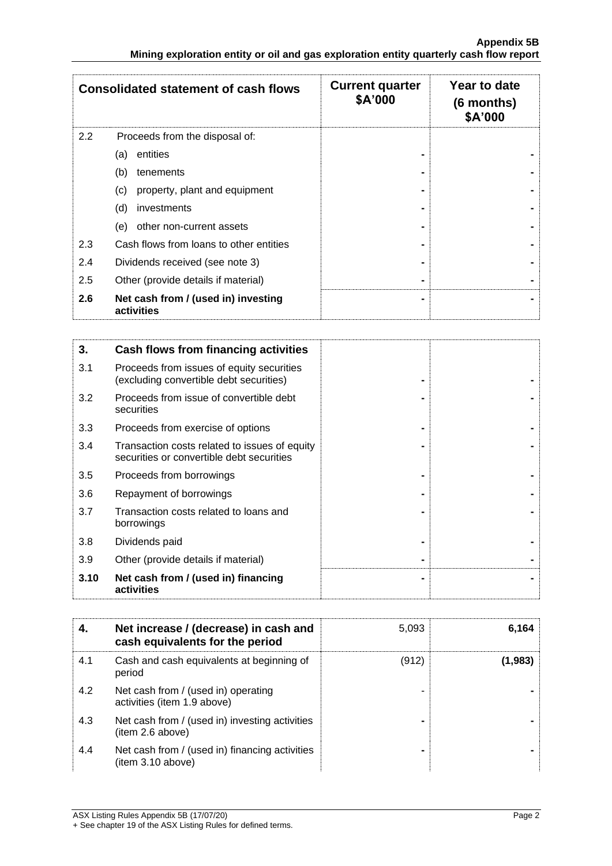|     | <b>Consolidated statement of cash flows</b>       | <b>Current quarter</b><br>\$A'000 | Year to date<br>(6 months)<br>\$A'000 |
|-----|---------------------------------------------------|-----------------------------------|---------------------------------------|
| 2.2 | Proceeds from the disposal of:                    |                                   |                                       |
|     | entities<br>(a)                                   |                                   |                                       |
|     | (b)<br>tenements                                  |                                   |                                       |
|     | property, plant and equipment<br>(c)              |                                   |                                       |
|     | (d)<br>investments                                |                                   |                                       |
|     | (e)<br>other non-current assets                   |                                   |                                       |
| 2.3 | Cash flows from loans to other entities           |                                   |                                       |
| 2.4 | Dividends received (see note 3)                   |                                   |                                       |
| 2.5 | Other (provide details if material)               |                                   |                                       |
| 2.6 | Net cash from / (used in) investing<br>activities |                                   |                                       |

| 3.   | Cash flows from financing activities                                                       |  |
|------|--------------------------------------------------------------------------------------------|--|
| 3.1  | Proceeds from issues of equity securities<br>(excluding convertible debt securities)       |  |
| 3.2  | Proceeds from issue of convertible debt<br>securities                                      |  |
| 3.3  | Proceeds from exercise of options                                                          |  |
| 3.4  | Transaction costs related to issues of equity<br>securities or convertible debt securities |  |
| 3.5  | Proceeds from borrowings                                                                   |  |
| 3.6  | Repayment of borrowings                                                                    |  |
| 3.7  | Transaction costs related to loans and<br>borrowings                                       |  |
| 3.8  | Dividends paid                                                                             |  |
| 3.9  | Other (provide details if material)                                                        |  |
| 3.10 | Net cash from / (used in) financing<br>activities                                          |  |

| 4.  | Net increase / (decrease) in cash and<br>cash equivalents for the period | 5,093 | 6,164   |
|-----|--------------------------------------------------------------------------|-------|---------|
| 4.1 | Cash and cash equivalents at beginning of<br>period                      | (912) | (1.983) |
| 4.2 | Net cash from / (used in) operating<br>activities (item 1.9 above)       | -     |         |
| 4.3 | Net cash from / (used in) investing activities<br>(item 2.6 above)       |       |         |
| 4.4 | Net cash from / (used in) financing activities<br>(item 3.10 above)      |       |         |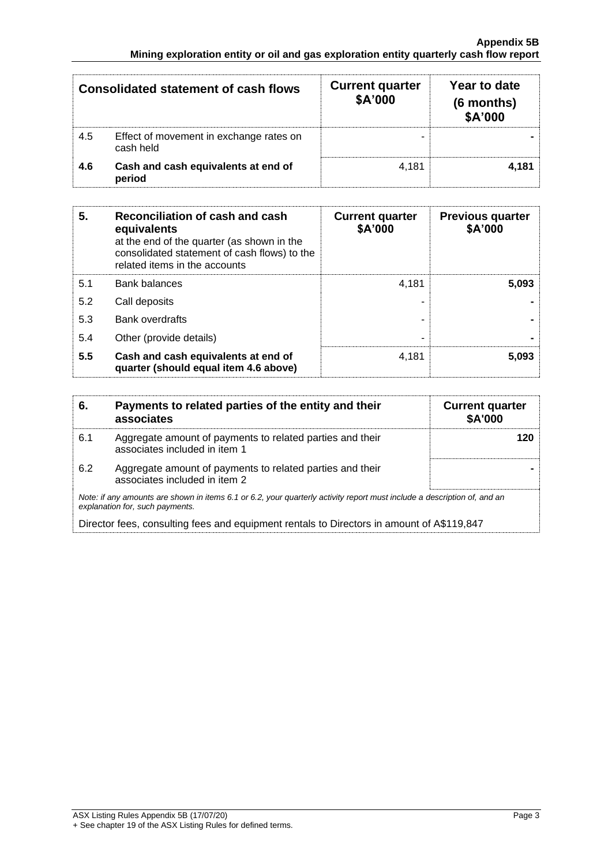|     | <b>Consolidated statement of cash flows</b>          | <b>Current quarter</b><br>\$A'000 | Year to date<br>(6 months)<br>\$A'000 |
|-----|------------------------------------------------------|-----------------------------------|---------------------------------------|
| 4.5 | Effect of movement in exchange rates on<br>cash held |                                   |                                       |
| 4.6 | Cash and cash equivalents at end of<br>period        | 4.181                             | 4.181                                 |

| 5.  | Reconciliation of cash and cash<br>equivalents<br>at the end of the quarter (as shown in the<br>consolidated statement of cash flows) to the<br>related items in the accounts | <b>Current quarter</b><br>\$A'000 | <b>Previous quarter</b><br>\$A'000 |
|-----|-------------------------------------------------------------------------------------------------------------------------------------------------------------------------------|-----------------------------------|------------------------------------|
| 5.1 | <b>Bank balances</b>                                                                                                                                                          | 4.181                             | 5.093                              |
| 5.2 | Call deposits                                                                                                                                                                 |                                   |                                    |
| 5.3 | <b>Bank overdrafts</b>                                                                                                                                                        |                                   |                                    |
| 5.4 | Other (provide details)                                                                                                                                                       | -                                 |                                    |
| 5.5 | Cash and cash equivalents at end of<br>quarter (should equal item 4.6 above)                                                                                                  | 4.181                             | 5.093                              |

| 6.  | Payments to related parties of the entity and their<br>associates                                                                                           | <b>Current quarter</b><br>\$A'000 |
|-----|-------------------------------------------------------------------------------------------------------------------------------------------------------------|-----------------------------------|
| 6.1 | Aggregate amount of payments to related parties and their<br>associates included in item 1                                                                  |                                   |
| 6.2 | Aggregate amount of payments to related parties and their<br>associates included in item 2                                                                  |                                   |
|     | Note: if any amounts are shown in items 6.1 or 6.2, your quarterly activity report must include a description of, and an<br>explanation for, such payments. |                                   |
|     | Director fees, consulting fees and equipment rentals to Directors in amount of A\$119,847                                                                   |                                   |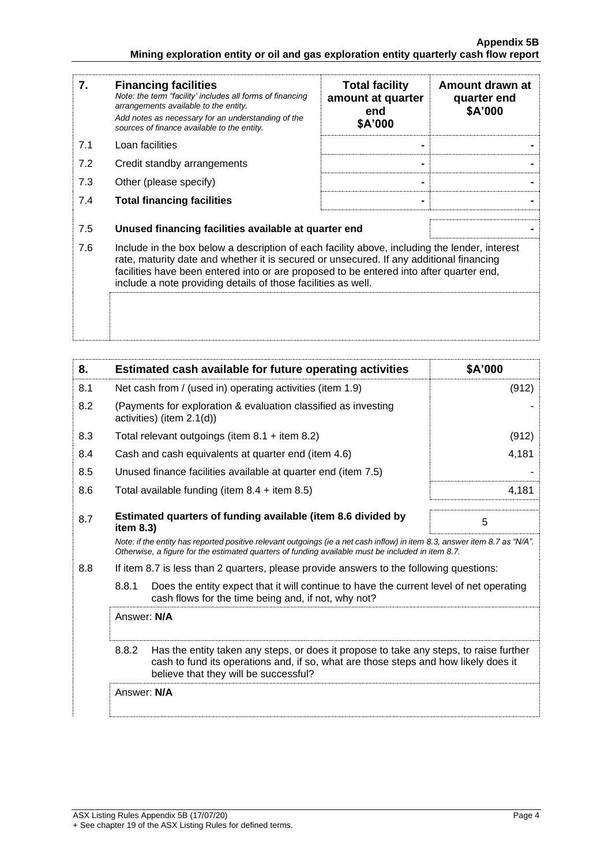| 7.  | <b>Financing facilities</b><br>Note: the term "facility' includes all forms of financing<br>arrangements available to the entity.<br>Add notes as necessary for an understanding of the<br>sources of finance available to the entity.                                                                                                               | <b>Total facility</b><br>amount at quarter<br>end<br>\$A'000 | Amount drawn at<br>quarter end<br>\$A'000 |
|-----|------------------------------------------------------------------------------------------------------------------------------------------------------------------------------------------------------------------------------------------------------------------------------------------------------------------------------------------------------|--------------------------------------------------------------|-------------------------------------------|
| 7.1 | Loan facilities                                                                                                                                                                                                                                                                                                                                      |                                                              |                                           |
| 7.2 | Credit standby arrangements                                                                                                                                                                                                                                                                                                                          |                                                              |                                           |
| 7.3 | Other (please specify)                                                                                                                                                                                                                                                                                                                               |                                                              |                                           |
| 7.4 | <b>Total financing facilities</b>                                                                                                                                                                                                                                                                                                                    |                                                              |                                           |
| 7.5 | Unused financing facilities available at quarter end                                                                                                                                                                                                                                                                                                 |                                                              |                                           |
| 7.6 | Include in the box below a description of each facility above, including the lender, interest<br>rate, maturity date and whether it is secured or unsecured. If any additional financing<br>facilities have been entered into or are proposed to be entered into after quarter end,<br>include a note providing details of those facilities as well. |                                                              |                                           |
|     |                                                                                                                                                                                                                                                                                                                                                      |                                                              |                                           |

| 8.                                                                                             | Estimated cash available for future operating activities                                                                                                                                                                        | \$A'000 |
|------------------------------------------------------------------------------------------------|---------------------------------------------------------------------------------------------------------------------------------------------------------------------------------------------------------------------------------|---------|
| 8.1                                                                                            | Net cash from / (used in) operating activities (item 1.9)                                                                                                                                                                       | (912)   |
| 8.2                                                                                            | (Payments for exploration & evaluation classified as investing<br>activities) (item 2.1(d))                                                                                                                                     |         |
| 8.3                                                                                            | Total relevant outgoings (item $8.1 +$ item $8.2$ )                                                                                                                                                                             | (912)   |
| 8.4                                                                                            | Cash and cash equivalents at quarter end (item 4.6)                                                                                                                                                                             | 4,181   |
| 8.5                                                                                            | Unused finance facilities available at quarter end (item 7.5)                                                                                                                                                                   |         |
| 8.6                                                                                            | Total available funding (item $8.4 +$ item $8.5$ )                                                                                                                                                                              | 4,181   |
| 8.7                                                                                            | Estimated quarters of funding available (item 8.6 divided by<br>item 8.3)                                                                                                                                                       | 5       |
|                                                                                                | Note: if the entity has reported positive relevant outgoings (ie a net cash inflow) in item 8.3, answer item 8.7 as "N/A".<br>Otherwise, a figure for the estimated quarters of funding available must be included in item 8.7. |         |
| 8.8<br>If item 8.7 is less than 2 quarters, please provide answers to the following questions: |                                                                                                                                                                                                                                 |         |
|                                                                                                | 8.8.1<br>Does the entity expect that it will continue to have the current level of net operating<br>cash flows for the time being and, if not, why not?                                                                         |         |
|                                                                                                | Answer: N/A                                                                                                                                                                                                                     |         |
|                                                                                                | 8.8.2<br>Has the entity taken any steps, or does it propose to take any steps, to raise further<br>cash to fund its operations and, if so, what are those steps and how likely does it<br>believe that they will be successful? |         |
| Answer: N/A                                                                                    |                                                                                                                                                                                                                                 |         |
|                                                                                                |                                                                                                                                                                                                                                 |         |